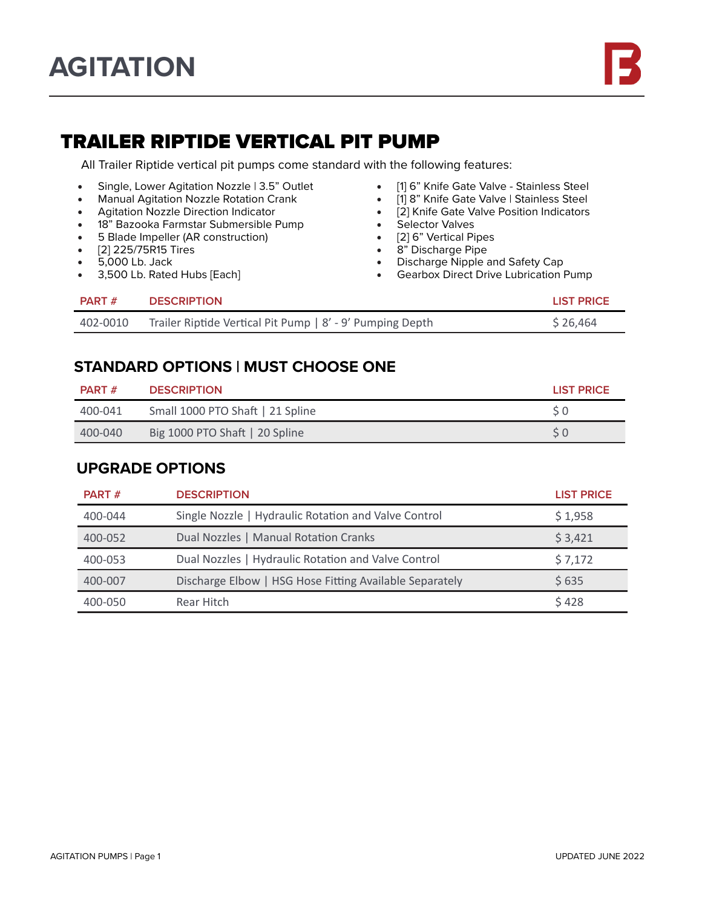# TRAILER RIPTIDE VERTICAL PIT PUMP

All Trailer Riptide vertical pit pumps come standard with the following features:

- Single, Lower Agitation Nozzle | 3.5" Outlet
- Manual Agitation Nozzle Rotation Crank
- Agitation Nozzle Direction Indicator
- 18" Bazooka Farmstar Submersible Pump
- 5 Blade Impeller (AR construction)
- [2] 225/75R15 Tires
- 5,000 Lb. Jack
- 3,500 Lb. Rated Hubs [Each]
- [1] 6" Knife Gate Valve Stainless Steel<br>• [1] 8" Knife Gate Valve | Stainless Steel
- [1] 8" Knife Gate Valve | Stainless Steel<br>• [2] Knife Gate Valve Position Indicators
- [2] Knife Gate Valve Position Indicators
- Selector Valves
- [2] 6" Vertical Pipes
- 8" Discharge Pipe
- Discharge Nipple and Safety Cap
- Gearbox Direct Drive Lubrication Pump

| <b>PART</b> # | <b>DESCRIPTION</b>                                        | LIST PRICE |
|---------------|-----------------------------------------------------------|------------|
| 402-0010      | Trailer Riptide Vertical Pit Pump   8' - 9' Pumping Depth | \$26,464   |

### **STANDARD OPTIONS | MUST CHOOSE ONE**

| <b>PART</b> # | <b>DESCRIPTION</b>               | <b>LIST PRICE</b> |
|---------------|----------------------------------|-------------------|
| 400-041       | Small 1000 PTO Shaft   21 Spline |                   |
| 400-040       | Big 1000 PTO Shaft   20 Spline   |                   |

#### **UPGRADE OPTIONS**

| <b>PART</b> # | <b>DESCRIPTION</b>                                      | <b>LIST PRICE</b> |
|---------------|---------------------------------------------------------|-------------------|
| 400-044       | Single Nozzle   Hydraulic Rotation and Valve Control    | \$1,958           |
| 400-052       | Dual Nozzles   Manual Rotation Cranks                   | \$3,421           |
| 400-053       | Dual Nozzles   Hydraulic Rotation and Valve Control     | \$7,172           |
| 400-007       | Discharge Elbow   HSG Hose Fitting Available Separately | \$635             |
| 400-050       | Rear Hitch                                              | \$428             |